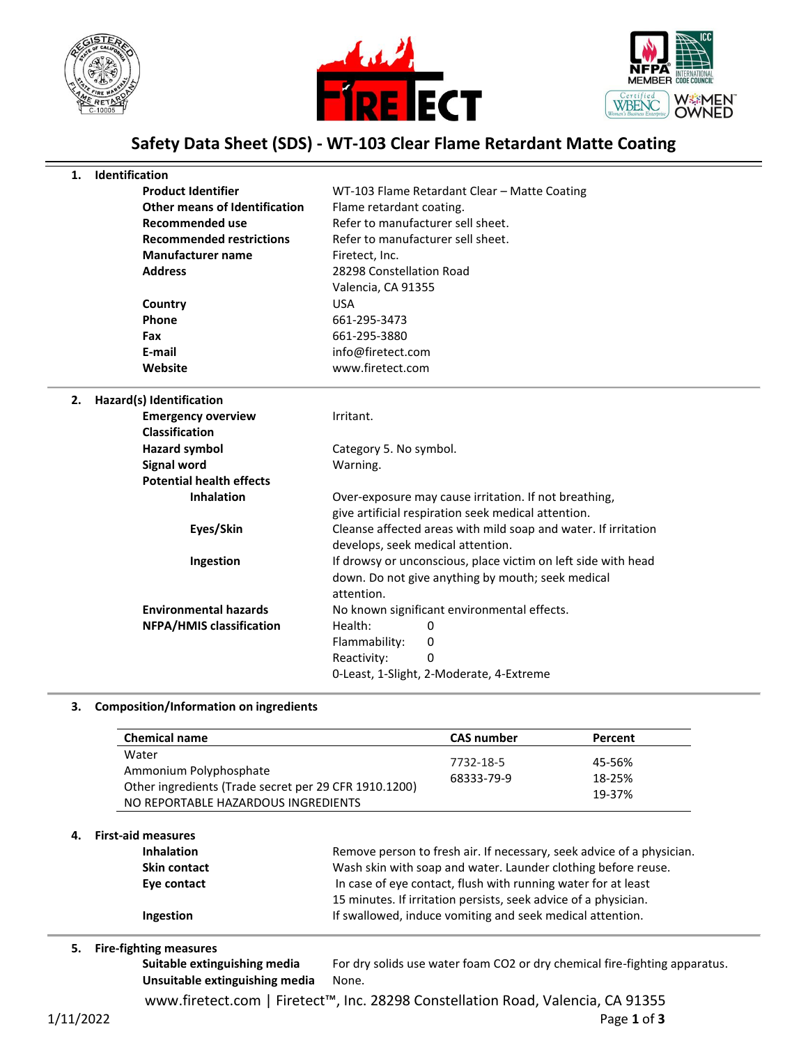





# **Safety Data Sheet (SDS) - WT-103 Clear Flame Retardant Matte Coating**

### **1. Identification**

| <b>Product Identifier</b>            | WT-103 Flame Retardant Clear - Matte Coating |
|--------------------------------------|----------------------------------------------|
| <b>Other means of Identification</b> | Flame retardant coating.                     |
| Recommended use                      | Refer to manufacturer sell sheet.            |
| <b>Recommended restrictions</b>      | Refer to manufacturer sell sheet.            |
| <b>Manufacturer name</b>             | Firetect, Inc.                               |
| <b>Address</b>                       | 28298 Constellation Road                     |
|                                      | Valencia, CA 91355                           |
| Country                              | USA                                          |
| <b>Phone</b>                         | 661-295-3473                                 |
| Fax                                  | 661-295-3880                                 |
| E-mail                               | info@firetect.com                            |
| Website                              | www.firetect.com                             |
|                                      |                                              |

#### **2. Hazard(s) Identification**

**Emergency overview** 

| Irritant |  |  |
|----------|--|--|
|          |  |  |

| <b>Classification</b>           |                                                                |  |  |
|---------------------------------|----------------------------------------------------------------|--|--|
| Hazard symbol                   | Category 5. No symbol.                                         |  |  |
| Signal word                     | Warning.                                                       |  |  |
| <b>Potential health effects</b> |                                                                |  |  |
| <b>Inhalation</b>               | Over-exposure may cause irritation. If not breathing,          |  |  |
|                                 | give artificial respiration seek medical attention.            |  |  |
| Eyes/Skin                       | Cleanse affected areas with mild soap and water. If irritation |  |  |
|                                 | develops, seek medical attention.                              |  |  |
| Ingestion                       | If drowsy or unconscious, place victim on left side with head  |  |  |
|                                 | down. Do not give anything by mouth; seek medical              |  |  |
|                                 | attention.                                                     |  |  |
| <b>Environmental hazards</b>    | No known significant environmental effects.                    |  |  |
| <b>NFPA/HMIS classification</b> | Health:<br>0                                                   |  |  |
|                                 | Flammability:<br>0                                             |  |  |
|                                 | Reactivity:<br>0                                               |  |  |
|                                 | 0-Least, 1-Slight, 2-Moderate, 4-Extreme                       |  |  |
|                                 |                                                                |  |  |

#### **3. Composition/Information on ingredients**

| <b>Chemical name</b>                                                                                                            | <b>CAS number</b>       | Percent                    |
|---------------------------------------------------------------------------------------------------------------------------------|-------------------------|----------------------------|
| Water<br>Ammonium Polyphosphate<br>Other ingredients (Trade secret per 29 CFR 1910.1200)<br>NO REPORTABLE HAZARDOUS INGREDIENTS | 7732-18-5<br>68333-79-9 | 45-56%<br>18-25%<br>19-37% |

#### **4. First-aid measures**

| <b>Inhalation</b>   | Remove person to fresh air. If necessary, seek advice of a physician. |
|---------------------|-----------------------------------------------------------------------|
| <b>Skin contact</b> | Wash skin with soap and water. Launder clothing before reuse.         |
| Eye contact         | In case of eye contact, flush with running water for at least         |
|                     | 15 minutes. If irritation persists, seek advice of a physician.       |
| Ingestion           | If swallowed, induce vomiting and seek medical attention.             |
|                     |                                                                       |

#### **5. Fire-fighting measures**

Suitable extinguishing media For dry solids use water foam CO2 or dry chemical fire-fighting apparatus. **Unsuitable extinguishing media** None.

www.firetect.com | Firetect™, Inc. 28298 Constellation Road, Valencia, CA 91355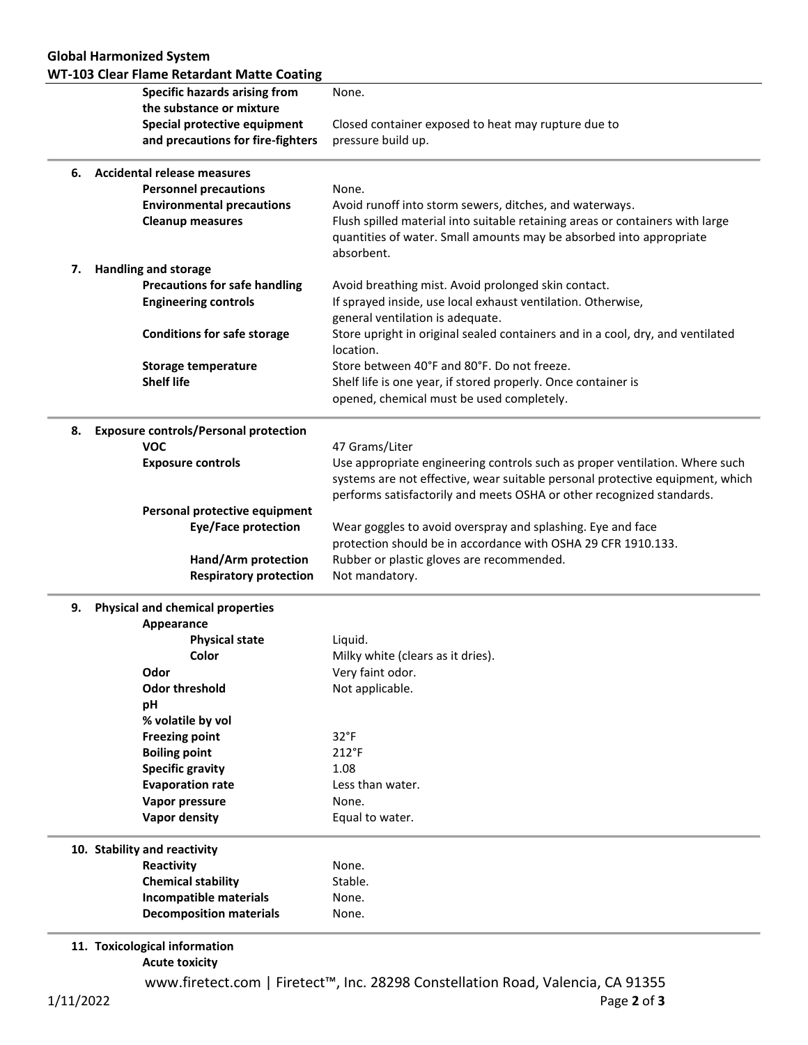|    | <b>WT-103 Clear Flame Retardant Matte Coating</b>      |                                                                                                                                                                    |  |  |
|----|--------------------------------------------------------|--------------------------------------------------------------------------------------------------------------------------------------------------------------------|--|--|
|    | <b>Specific hazards arising from</b>                   | None.                                                                                                                                                              |  |  |
|    | the substance or mixture                               |                                                                                                                                                                    |  |  |
|    | Special protective equipment                           | Closed container exposed to heat may rupture due to                                                                                                                |  |  |
|    | and precautions for fire-fighters                      | pressure build up.                                                                                                                                                 |  |  |
| 6. | <b>Accidental release measures</b>                     |                                                                                                                                                                    |  |  |
|    | <b>Personnel precautions</b>                           | None.                                                                                                                                                              |  |  |
|    | <b>Environmental precautions</b>                       | Avoid runoff into storm sewers, ditches, and waterways.                                                                                                            |  |  |
|    | <b>Cleanup measures</b>                                | Flush spilled material into suitable retaining areas or containers with large<br>quantities of water. Small amounts may be absorbed into appropriate<br>absorbent. |  |  |
| 7. | <b>Handling and storage</b>                            |                                                                                                                                                                    |  |  |
|    | <b>Precautions for safe handling</b>                   | Avoid breathing mist. Avoid prolonged skin contact.                                                                                                                |  |  |
|    | <b>Engineering controls</b>                            | If sprayed inside, use local exhaust ventilation. Otherwise,<br>general ventilation is adequate.                                                                   |  |  |
|    | <b>Conditions for safe storage</b>                     | Store upright in original sealed containers and in a cool, dry, and ventilated<br>location.                                                                        |  |  |
|    | <b>Storage temperature</b>                             | Store between 40°F and 80°F. Do not freeze.                                                                                                                        |  |  |
|    | <b>Shelf life</b>                                      | Shelf life is one year, if stored properly. Once container is<br>opened, chemical must be used completely.                                                         |  |  |
| 8. | <b>Exposure controls/Personal protection</b>           |                                                                                                                                                                    |  |  |
|    | <b>VOC</b>                                             | 47 Grams/Liter                                                                                                                                                     |  |  |
|    | <b>Exposure controls</b>                               | Use appropriate engineering controls such as proper ventilation. Where such                                                                                        |  |  |
|    |                                                        | systems are not effective, wear suitable personal protective equipment, which<br>performs satisfactorily and meets OSHA or other recognized standards.             |  |  |
|    | Personal protective equipment                          |                                                                                                                                                                    |  |  |
|    | <b>Eye/Face protection</b>                             | Wear goggles to avoid overspray and splashing. Eye and face<br>protection should be in accordance with OSHA 29 CFR 1910.133.                                       |  |  |
|    | Hand/Arm protection                                    | Rubber or plastic gloves are recommended.                                                                                                                          |  |  |
|    | <b>Respiratory protection</b>                          | Not mandatory.                                                                                                                                                     |  |  |
| 9. | <b>Physical and chemical properties</b>                |                                                                                                                                                                    |  |  |
|    | Appearance                                             |                                                                                                                                                                    |  |  |
|    | <b>Physical state</b>                                  | Liquid.                                                                                                                                                            |  |  |
|    | Color                                                  | Milky white (clears as it dries).                                                                                                                                  |  |  |
|    | Odor                                                   | Very faint odor.                                                                                                                                                   |  |  |
|    | <b>Odor threshold</b>                                  | Not applicable.                                                                                                                                                    |  |  |
|    | pH                                                     |                                                                                                                                                                    |  |  |
|    | % volatile by vol                                      |                                                                                                                                                                    |  |  |
|    | <b>Freezing point</b>                                  | $32^{\circ}F$                                                                                                                                                      |  |  |
|    | <b>Boiling point</b>                                   | $212^{\circ}F$                                                                                                                                                     |  |  |
|    | <b>Specific gravity</b>                                | 1.08                                                                                                                                                               |  |  |
|    | <b>Evaporation rate</b>                                | Less than water.                                                                                                                                                   |  |  |
|    | Vapor pressure                                         | None.                                                                                                                                                              |  |  |
|    | <b>Vapor density</b>                                   | Equal to water.                                                                                                                                                    |  |  |
|    | 10. Stability and reactivity                           |                                                                                                                                                                    |  |  |
|    | Reactivity                                             | None.                                                                                                                                                              |  |  |
|    | <b>Chemical stability</b>                              | Stable.                                                                                                                                                            |  |  |
|    | Incompatible materials                                 | None.                                                                                                                                                              |  |  |
|    | <b>Decomposition materials</b>                         | None.                                                                                                                                                              |  |  |
|    | 11. Toxicological information<br><b>Acute toxicity</b> |                                                                                                                                                                    |  |  |
|    |                                                        | www.firetect.com   Firetect™, Inc. 28298 Constellation Road, Valencia, CA 91355                                                                                    |  |  |